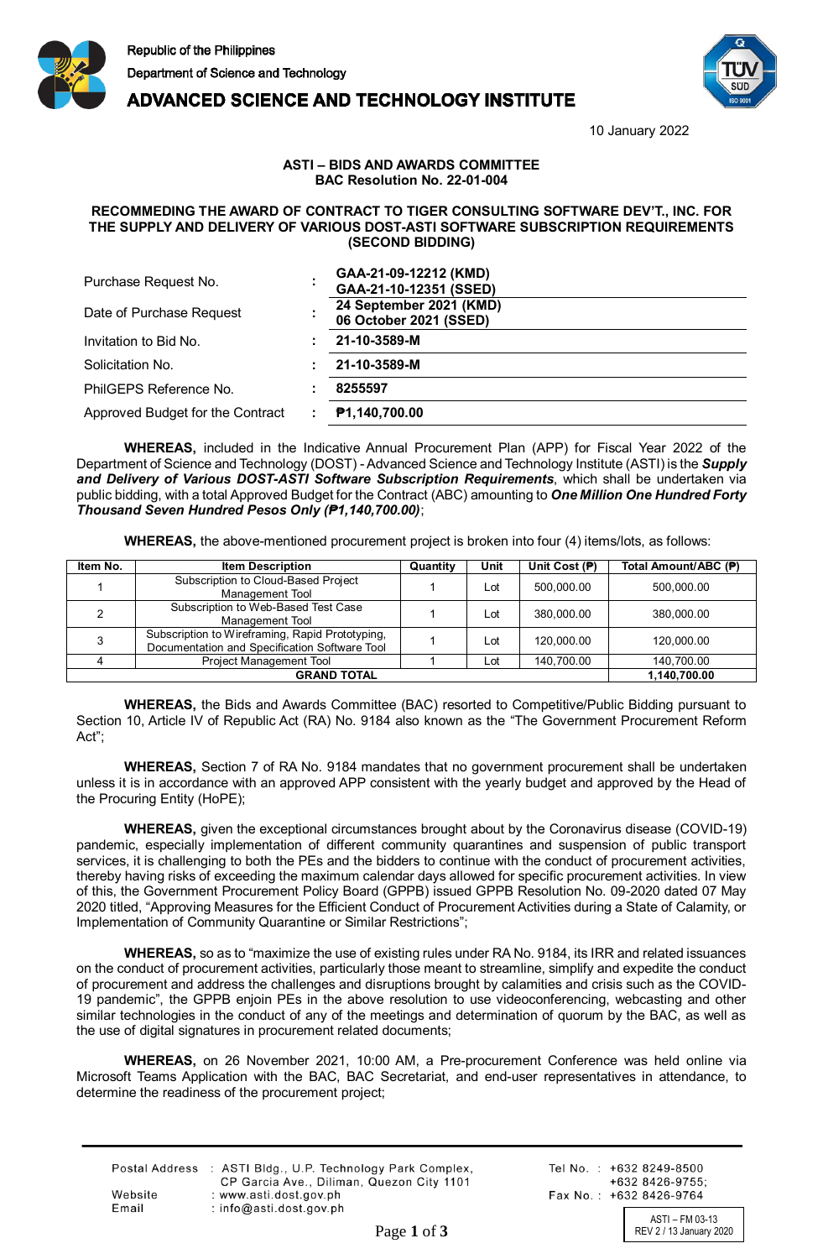

**ADVANCED SCIENCE AND TECHNOLOGY INSTITUTE** 



10 January 2022

## **ASTI – BIDS AND AWARDS COMMITTEE BAC Resolution No. 22-01-004**

## **RECOMMEDING THE AWARD OF CONTRACT TO TIGER CONSULTING SOFTWARE DEV'T., INC. FOR THE SUPPLY AND DELIVERY OF VARIOUS DOST-ASTI SOFTWARE SUBSCRIPTION REQUIREMENTS (SECOND BIDDING)**

| Purchase Request No.             | GAA-21-09-12212 (KMD)<br>GAA-21-10-12351 (SSED)   |
|----------------------------------|---------------------------------------------------|
| Date of Purchase Request         | 24 September 2021 (KMD)<br>06 October 2021 (SSED) |
| Invitation to Bid No.            | 21-10-3589-M                                      |
| Solicitation No.                 | 21-10-3589-M                                      |
| PhilGEPS Reference No.           | 8255597                                           |
| Approved Budget for the Contract | P1,140,700.00                                     |

**WHEREAS,** included in the Indicative Annual Procurement Plan (APP) for Fiscal Year 2022 of the Department of Science and Technology (DOST) - Advanced Science and Technology Institute (ASTI) is the *Supply and Delivery of Various DOST-ASTI Software Subscription Requirements*, which shall be undertaken via public bidding, with a total Approved Budget for the Contract (ABC) amounting to *One Million One Hundred Forty Thousand Seven Hundred Pesos Only (₱1,140,700.00)*;

**WHEREAS,** the above-mentioned procurement project is broken into four (4) items/lots, as follows:

| Item No. | <b>Item Description</b>                                                                          | Quantity | Unit | Unit Cost (P) | Total Amount/ABC (P) |
|----------|--------------------------------------------------------------------------------------------------|----------|------|---------------|----------------------|
|          | Subscription to Cloud-Based Project<br>Management Tool                                           |          | Lot  | 500.000.00    | 500,000.00           |
|          | Subscription to Web-Based Test Case<br>Management Tool                                           |          | Lot  | 380,000.00    | 380.000.00           |
|          | Subscription to Wireframing, Rapid Prototyping,<br>Documentation and Specification Software Tool |          | Lot  | 120,000.00    | 120,000.00           |
|          | Project Management Tool                                                                          |          | Lot  | 140,700.00    | 140,700.00           |
|          | 1,140,700.00                                                                                     |          |      |               |                      |

**WHEREAS,** the Bids and Awards Committee (BAC) resorted to Competitive/Public Bidding pursuant to Section 10, Article IV of Republic Act (RA) No. 9184 also known as the "The Government Procurement Reform Act";

**WHEREAS,** Section 7 of RA No. 9184 mandates that no government procurement shall be undertaken unless it is in accordance with an approved APP consistent with the yearly budget and approved by the Head of the Procuring Entity (HoPE);

**WHEREAS,** given the exceptional circumstances brought about by the Coronavirus disease (COVID-19) pandemic, especially implementation of different community quarantines and suspension of public transport services, it is challenging to both the PEs and the bidders to continue with the conduct of procurement activities, thereby having risks of exceeding the maximum calendar days allowed for specific procurement activities. In view of this, the Government Procurement Policy Board (GPPB) issued GPPB Resolution No. 09-2020 dated 07 May 2020 titled, "Approving Measures for the Efficient Conduct of Procurement Activities during a State of Calamity, or Implementation of Community Quarantine or Similar Restrictions";

**WHEREAS,** so as to "maximize the use of existing rules under RA No. 9184, its IRR and related issuances on the conduct of procurement activities, particularly those meant to streamline, simplify and expedite the conduct of procurement and address the challenges and disruptions brought by calamities and crisis such as the COVID-19 pandemic", the GPPB enjoin PEs in the above resolution to use videoconferencing, webcasting and other similar technologies in the conduct of any of the meetings and determination of quorum by the BAC, as well as the use of digital signatures in procurement related documents;

**WHEREAS,** on 26 November 2021, 10:00 AM, a Pre-procurement Conference was held online via Microsoft Teams Application with the BAC, BAC Secretariat, and end-user representatives in attendance, to determine the readiness of the procurement project;

|         | Postal Address : ASTI Bldg., U.P. Technology Park Complex, |
|---------|------------------------------------------------------------|
|         | CP Garcia Ave., Diliman, Quezon City 1101                  |
| Website | : www.asti.dost.gov.ph                                     |
| Email   | $:$ info@asti.dost.gov.ph                                  |

Tel No.: +632 8249-8500  $+6328426-9755$ Fax No.: +632 8426-9764

ASTI – FM 03-13<br>REV 2 / 13 January 2020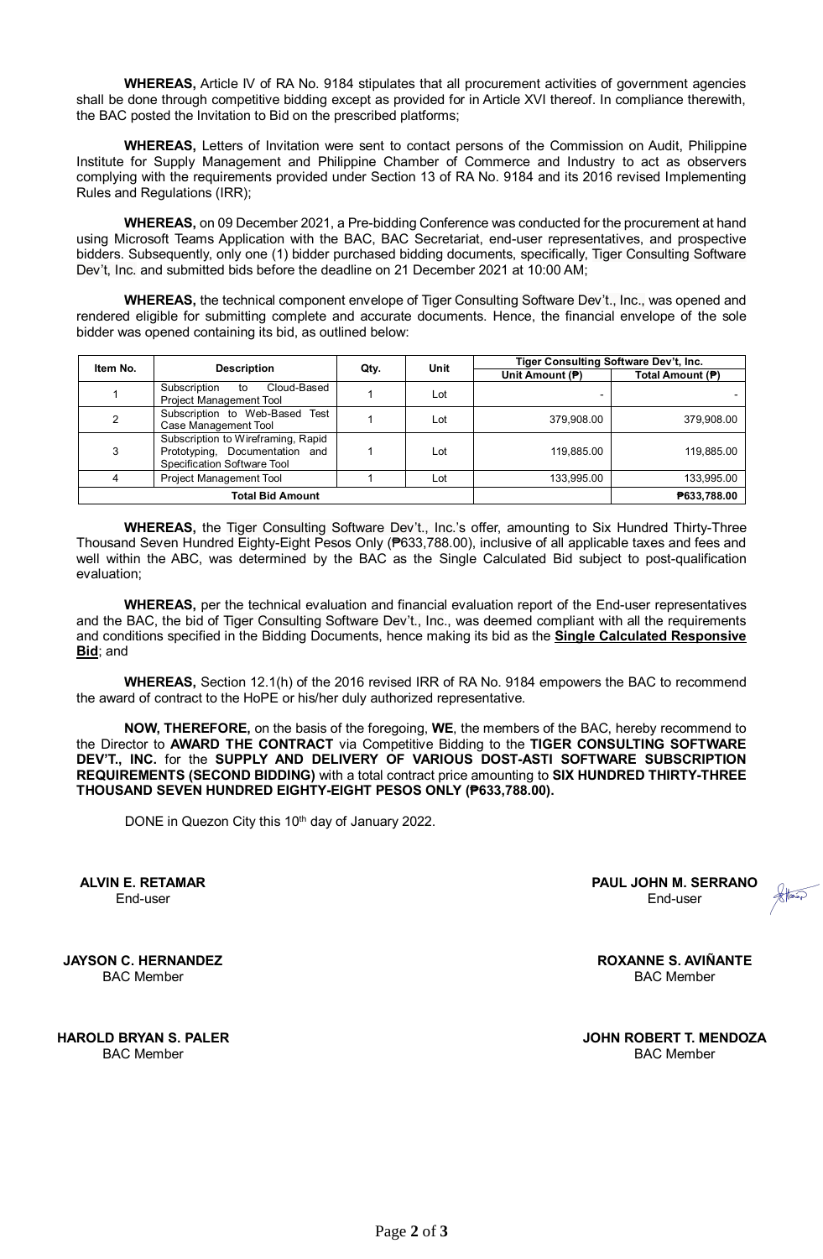**WHEREAS,** Article IV of RA No. 9184 stipulates that all procurement activities of government agencies shall be done through competitive bidding except as provided for in Article XVI thereof. In compliance therewith, the BAC posted the Invitation to Bid on the prescribed platforms;

**WHEREAS,** Letters of Invitation were sent to contact persons of the Commission on Audit, Philippine Institute for Supply Management and Philippine Chamber of Commerce and Industry to act as observers complying with the requirements provided under Section 13 of RA No. 9184 and its 2016 revised Implementing Rules and Regulations (IRR);

**WHEREAS,** on 09 December 2021, a Pre-bidding Conference was conducted for the procurement at hand using Microsoft Teams Application with the BAC, BAC Secretariat, end-user representatives, and prospective bidders. Subsequently, only one (1) bidder purchased bidding documents, specifically, Tiger Consulting Software Dev't, Inc. and submitted bids before the deadline on 21 December 2021 at 10:00 AM;

**WHEREAS,** the technical component envelope of Tiger Consulting Software Dev't., Inc., was opened and rendered eligible for submitting complete and accurate documents. Hence, the financial envelope of the sole bidder was opened containing its bid, as outlined below:

| Item No. | <b>Description</b>                                                                                  | Qty. | Unit        | Tiger Consulting Software Dev't, Inc. |                  |
|----------|-----------------------------------------------------------------------------------------------------|------|-------------|---------------------------------------|------------------|
|          |                                                                                                     |      |             | Unit Amount (P)                       | Total Amount (P) |
|          | Cloud-Based<br>Subscription<br>to<br>Project Management Tool                                        |      | Lot         |                                       |                  |
| 2        | Subscription to Web-Based Test<br>Case Management Tool                                              |      | Lot         | 379.908.00                            | 379.908.00       |
| 3        | Subscription to Wireframing, Rapid<br>Prototyping, Documentation and<br>Specification Software Tool |      | Lot         | 119,885.00                            | 119,885.00       |
| 4        | <b>Project Management Tool</b>                                                                      |      | Lot         | 133,995.00                            | 133,995.00       |
|          | Total Bid Amount                                                                                    |      | ₱633,788.00 |                                       |                  |

**WHEREAS,** the Tiger Consulting Software Dev't., Inc.'s offer, amounting to Six Hundred Thirty-Three Thousand Seven Hundred Eighty-Eight Pesos Only (₱633,788.00), inclusive of all applicable taxes and fees and well within the ABC, was determined by the BAC as the Single Calculated Bid subject to post-qualification evaluation;

**WHEREAS,** per the technical evaluation and financial evaluation report of the End-user representatives and the BAC, the bid of Tiger Consulting Software Dev't., Inc., was deemed compliant with all the requirements and conditions specified in the Bidding Documents, hence making its bid as the **Single Calculated Responsive Bid**; and

**WHEREAS,** Section 12.1(h) of the 2016 revised IRR of RA No. 9184 empowers the BAC to recommend the award of contract to the HoPE or his/her duly authorized representative.

**NOW, THEREFORE,** on the basis of the foregoing, **WE**, the members of the BAC, hereby recommend to the Director to **AWARD THE CONTRACT** via Competitive Bidding to the **TIGER CONSULTING SOFTWARE DEV'T., INC.** for the **SUPPLY AND DELIVERY OF VARIOUS DOST-ASTI SOFTWARE SUBSCRIPTION REQUIREMENTS (SECOND BIDDING)** with a total contract price amounting to **SIX HUNDRED THIRTY-THREE THOUSAND SEVEN HUNDRED EIGHTY-EIGHT PESOS ONLY (₱633,788.00).**

DONE in Quezon City this 10<sup>th</sup> day of January 2022.

Digitally signed by Mosquera Ian Capilador

Digitally signed by Serrano Paul John Mirandilla

**PAUL JOHN M. SERRANO** End-user

**JAYSON C. HERNANDEZ** BAC Member

**ALVIN E. RETAMAR** End-user

**HAROLD BRYAN S. PALER** BAC Member

**ROXANNE S. AVIÑANTE** BAC Member

**JOHN ROBERT T. MENDOZA** BAC Member